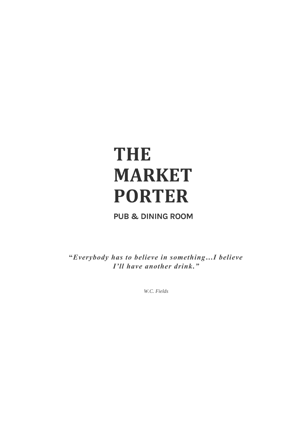# THE **MARKET PORTER**

**PUB & DINING ROOM** 

**"***Everybody has to believe in something…I believe I'll have another drink."*

*W.C. Fields*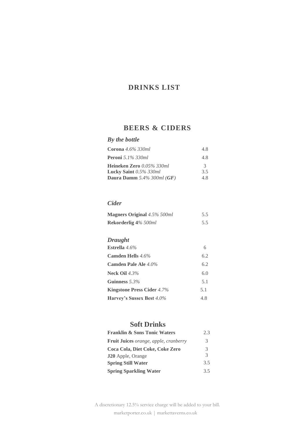## **DRINKS LIST**

## **BEERS & CIDERS**

#### *By the bottle*

| Corona $4.6\%$ 330ml          | 4.8 |
|-------------------------------|-----|
| <b>Peroni</b> 5.1% 330ml      | 4.8 |
| Heineken Zero 0.05% 330ml     | 3   |
| <b>Lucky Saint</b> 0.5% 330ml | 3.5 |
| Daura Damm $5.4\%$ 300ml (GF) | 4.8 |

#### *Cider*

| <b>Magners Original 4.5% 500ml</b> | 5.5 |
|------------------------------------|-----|
| <b>Rekorderlig 4% 500ml</b>        | 5.5 |

#### *Draught*

| <b>Estrella</b> 4.6%              |     |
|-----------------------------------|-----|
| <b>Camden Hells</b> 4.6%          | 6.2 |
| <b>Camden Pale Ale 4.0%</b>       | 6.2 |
| <b>Neck Oil 4.3%</b>              | 6.0 |
| Guinness $5.3\%$                  | 5.1 |
| <b>Kingstone Press Cider 4.7%</b> | 5.1 |
| <b>Harvey's Sussex Best 4.0%</b>  | 4.8 |

### **Soft Drinks**

| <b>Franklin &amp; Sons Tonic Waters</b> | 2.3 |
|-----------------------------------------|-----|
| Fruit Juices orange, apple, cranberry   | 3   |
| Coca Cola, Diet Coke, Coke Zero         | 3   |
| <b>J20</b> Apple, Orange                | 3   |
| <b>Spring Still Water</b>               | 35  |
| <b>Spring Sparkling Water</b>           | 35  |

A discretionary 12.5% service charge will be added to your bill. marketporter.co.uk | markettaverns.co.uk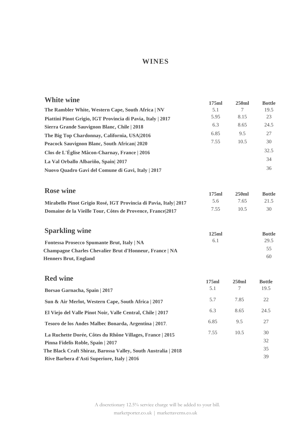## **WINES**

| <b>White wine</b>                                                                       | 175ml | 250ml | <b>Bottle</b> |
|-----------------------------------------------------------------------------------------|-------|-------|---------------|
| The Rambler White, Western Cape, South Africa   NV                                      | 5.1   | 7     | 19.5          |
| Piattini Pinot Grigio, IGT Provincia di Pavia, Italy   2017                             | 5.95  | 8.15  | 23            |
| Sierra Grande Sauvignon Blanc, Chile   2018                                             | 6.3   | 8.65  | 24.5          |
| The Big Top Chardonnay, California, USA 2016                                            | 6.85  | 9.5   | 27            |
| <b>Peacock Sauvignon Blanc, South African 2020</b>                                      | 7.55  | 10.5  | 30            |
| Clos de L'Église Mâcon-Charnay, France   2016                                           |       |       | 32.5          |
| La Val Orballo Albariño, Spain  2017                                                    |       |       | 34            |
| Nuovo Quadro Gavi del Comune di Gavi, Italy   2017                                      |       |       | 36            |
| <b>Rose wine</b>                                                                        | 175ml | 250ml | <b>Bottle</b> |
| Mirabello Pinot Grigio Rosé, IGT Provincia di Pavia, Italy 2017                         | 5.6   | 7.65  | 21.5          |
| Domaine de la Vieille Tour, Côtes de Provence, France [2017                             | 7.55  | 10.5  | 30            |
| <b>Sparkling wine</b>                                                                   | 125ml |       | <b>Bottle</b> |
| Fontessa Prosecco Spumante Brut, Italy   NA                                             | 6.1   |       | 29.5<br>55    |
| Champagne Charles Chevalier Brut d'Honneur, France   NA<br><b>Henners Brut, England</b> |       |       | 60            |
| <b>Red wine</b>                                                                         | 175ml | 250ml | <b>Bottle</b> |
| Borsao Garnacha, Spain   2017                                                           | 5.1   | 7     | 19.5          |
| Sun & Air Merlot, Western Cape, South Africa   2017                                     | 5.7   | 7.85  | 22            |
| El Viejo del Valle Pinot Noir, Valle Central, Chile   2017                              | 6.3   | 8.65  | 24.5          |
| Tesoro de los Andes Malbec Bonarda, Argentina   2017.                                   | 6.85  | 9.5   | 27            |
| La Ruchette Dorée, Côtes du Rhône Villages, France   2015                               | 7.55  | 10.5  | 30            |
| Pinna Fidelis Roble, Spain   2017                                                       |       |       | 32            |
| The Black Craft Shiraz, Barossa Valley, South Australia   2018                          |       |       | 35            |
| Rive Barbera d'Asti Superiore, Italy   2016                                             |       |       | 39            |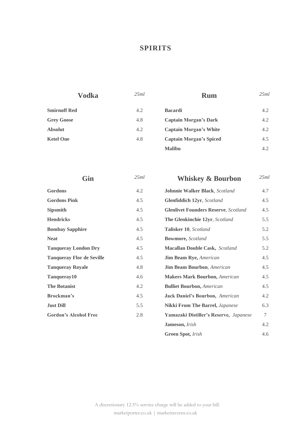# **SPIRITS**

| <b>Vodka</b>        | 25ml | <b>Rum</b>                     | 25ml |
|---------------------|------|--------------------------------|------|
| <b>Smirnoff Red</b> | 4.2  | <b>Bacardi</b>                 | 4.2  |
| <b>Grey Goose</b>   | 4.8  | <b>Captain Morgan's Dark</b>   | 4.2  |
| <b>Absolut</b>      | 4.2  | <b>Captain Morgan's White</b>  | 4.2  |
| <b>Ketel One</b>    | 4.8  | <b>Captain Morgan's Spiced</b> | 4.5  |
|                     |      | <b>Malibu</b>                  | 4.2  |

| Gin                              | 25ml | <b>Whiskey &amp; Bourbon</b>                | 25ml   |
|----------------------------------|------|---------------------------------------------|--------|
| Gordons                          | 4.2  | Johnnie Walker Black, Scotland              | 4.7    |
| <b>Gordons Pink</b>              | 4.5  | Glenfiddich 12yr, Scotland                  | 4.5    |
| <b>Sipsmith</b>                  | 4.5  | <b>Glenlivet Founders Reserve, Scotland</b> | 4.5    |
| <b>Hendricks</b>                 | 4.5  | <b>The Glenkinchie 12yr, Scotland</b>       | 5.5    |
| <b>Bombay Sapphire</b>           | 4.5  | Talisker 10, Scotland                       | 5.2    |
| <b>Neat</b>                      | 4.5  | Bowmore, Scotland                           | 5.5    |
| <b>Tanqueray London Dry</b>      | 4.5  | <b>Macallan Double Cask, Scotland</b>       | 5.2    |
| <b>Tanqueray Flor de Seville</b> | 4.5  | <b>Jim Beam Rye, American</b>               | 4.5    |
| <b>Tanqueray Royale</b>          | 4.8  | <b>Jim Beam Bourbon</b> , American          | 4.5    |
| Tanqueray10                      | 4.6  | <b>Makers Mark Bourbon, American</b>        | 4.5    |
| <b>The Botanist</b>              | 4.2  | <b>Bulliet Bourbon, American</b>            | 4.5    |
| Brockman's                       | 4.5  | <b>Jack Daniel's Bourbon, American</b>      | 4.2    |
| <b>Just Dill</b>                 | 5.5  | <b>Nikki From The Barrel, Japanese</b>      | 6.3    |
| <b>Gordon's Alcohol Free</b>     | 2.8  | Yamazaki Distiller's Reserve, Japanese      | $\tau$ |
|                                  |      | Jameson, Irish                              | 4.2    |

A discretionary 12.5% service charge will be added to your bill. marketporter.co.uk | markettaverns.co.uk

**Green Spot,** *Irish* 4.6